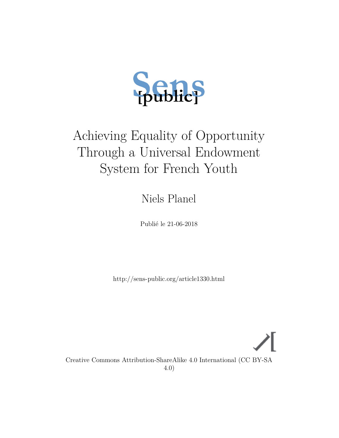

# Achieving Equality of Opportunity Through a Universal Endowment System for French Youth

Niels Planel

Publié le 21-06-2018

<http://sens-public.org/article1330.html>

Creative Commons Attribution-ShareAlike 4.0 International (CC BY-SA 4.0)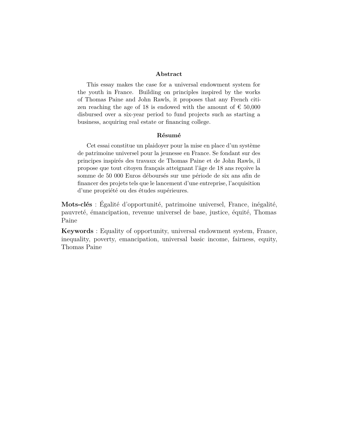#### **Abstract**

This essay makes the case for a universal endowment system for the youth in France. Building on principles inspired by the works of Thomas Paine and John Rawls, it proposes that any French citizen reaching the age of 18 is endowed with the amount of  $\epsilon$  50,000 disbursed over a six-year period to fund projects such as starting a business, acquiring real estate or financing college.

#### **Résumé**

Cet essai constitue un plaidoyer pour la mise en place d'un système de patrimoine universel pour la jeunesse en France. Se fondant sur des principes inspirés des travaux de Thomas Paine et de John Rawls, il propose que tout citoyen français atteignant l'âge de 18 ans reçoive la somme de 50 000 Euros déboursés sur une période de six ans afin de financer des projets tels que le lancement d'une entreprise, l'acquisition d'une propriété ou des études supérieures.

**Mots-clés** : Égalité d'opportunité, patrimoine universel, France, inégalité, pauvreté, émancipation, revenue universel de base, justice, équité, Thomas Paine

**Keywords** : Equality of opportunity, universal endowment system, France, inequality, poverty, emancipation, universal basic income, fairness, equity, Thomas Paine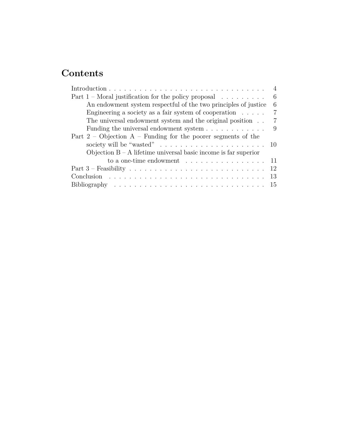# **Contents**

| $\overline{4}$                                                                          |
|-----------------------------------------------------------------------------------------|
| 6<br>Part $1$ – Moral justification for the policy proposal $\ldots \ldots \ldots$      |
| An endowment system respectful of the two principles of justice<br>6                    |
| Engineering a society as a fair system of cooperation $\ldots \ldots$<br>$\overline{7}$ |
| The universal endowment system and the original position<br>7                           |
| 9<br>Funding the universal endowment system $\ldots \ldots \ldots \ldots$               |
| Part 2 – Objection $A$ – Funding for the poorer segments of the                         |
| society will be "wasted" $\ldots \ldots \ldots \ldots \ldots \ldots \ldots \ldots 10$   |
| Objection $B - A$ lifetime universal basic income is far superior                       |
| to a one-time endowment $\ldots \ldots \ldots \ldots \ldots 11$                         |
| -12                                                                                     |
| -13                                                                                     |
|                                                                                         |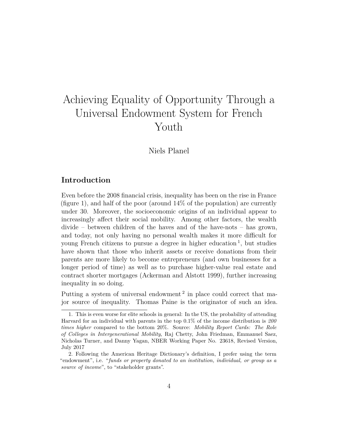# Achieving Equality of Opportunity Through a Universal Endowment System for French Youth

Niels Planel

#### <span id="page-3-0"></span>**Introduction**

Even before the 2008 financial crisis, inequality has been on the rise in France (figure 1), and half of the poor (around 14% of the population) are currently under 30. Moreover, the socioeconomic origins of an individual appear to increasingly affect their social mobility. Among other factors, the wealth divide – between children of the haves and of the have-nots – has grown, and today, not only having no personal wealth makes it more difficult for young French citizens to pursue a degree in higher education<sup>[1](#page-3-1)</sup>, but studies have shown that those who inherit assets or receive donations from their parents are more likely to become entrepreneurs (and own businesses for a longer period of time) as well as to purchase higher-value real estate and contract shorter mortgages (Ackerman and Alstott [1999\)](#page-14-1), further increasing inequality in so doing.

Putting a system of universal endowment<sup>[2](#page-3-2)</sup> in place could correct that major source of inequality. Thomas Paine is the originator of such an idea.

<span id="page-3-1"></span><sup>1.</sup> This is even worse for elite schools in general: In the US, the probability of attending Harvard for an individual with parents in the top 0.1% of the income distribution is *200 times higher* compared to the bottom 20%. Source: *Mobility Report Cards: The Role of Colleges in Intergenerational Mobility*, Raj Chetty, John Friedman, Emmanuel Saez, Nicholas Turner, and Danny Yagan, NBER Working Paper No. 23618, Revised Version, July 2017

<span id="page-3-2"></span><sup>2.</sup> Following the American Heritage Dictionary's definition, I prefer using the term "endowment", i.e. "*funds or property donated to an institution, individual, or group as a source of income*", to "stakeholder grants".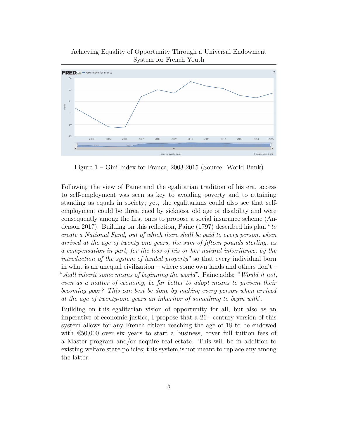

Achieving Equality of Opportunity Through a Universal Endowment System for French Youth

Figure 1 – Gini Index for France, 2003-2015 (Source: World Bank)

Following the view of Paine and the egalitarian tradition of his era, access to self-employment was seen as key to avoiding poverty and to attaining standing as equals in society; yet, the egalitarians could also see that selfemployment could be threatened by sickness, old age or disability and were consequently among the first ones to propose a social insurance scheme (Anderson [2017\)](#page-14-2). Building on this reflection, Paine [\(1797\)](#page-14-3) described his plan "*to create a National Fund, out of which there shall be paid to every person, when arrived at the age of twenty one years, the sum of fifteen pounds sterling, as a compensation in part, for the loss of his or her natural inheritance, by the introduction of the system of landed property*" so that every individual born in what is an unequal civilization – where some own lands and others don't – "*shall inherit some means of beginning the world*". Paine adds: "*Would it not, even as a matter of economy, be far better to adopt means to prevent their becoming poor? This can best be done by making every person when arrived at the age of twenty-one years an inheritor of something to begin with*".

Building on this egalitarian vision of opportunity for all, but also as an imperative of economic justice, I propose that a  $21<sup>st</sup>$  century version of this system allows for any French citizen reaching the age of 18 to be endowed with  $\epsilon$ 50,000 over six years to start a business, cover full tuition fees of a Master program and/or acquire real estate. This will be in addition to existing welfare state policies; this system is not meant to replace any among the latter.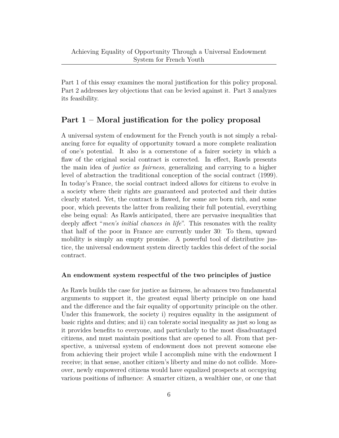Part 1 of this essay examines the moral justification for this policy proposal. Part 2 addresses key objections that can be levied against it. Part 3 analyzes its feasibility.

### <span id="page-5-0"></span>**Part 1 – Moral justification for the policy proposal**

A universal system of endowment for the French youth is not simply a rebalancing force for equality of opportunity toward a more complete realization of one's potential. It also is a cornerstone of a fairer society in which a flaw of the original social contract is corrected. In effect, Rawls presents the main idea of *justice as fairness*, generalizing and carrying to a higher level of abstraction the traditional conception of the social contract [\(1999\)](#page-14-4). In today's France, the social contract indeed allows for citizens to evolve in a society where their rights are guaranteed and protected and their duties clearly stated. Yet, the contract is flawed, for some are born rich, and some poor, which prevents the latter from realizing their full potential, everything else being equal: As Rawls anticipated, there are pervasive inequalities that deeply affect "*men's initial chances in life*". This resonates with the reality that half of the poor in France are currently under 30: To them, upward mobility is simply an empty promise. A powerful tool of distributive justice, the universal endowment system directly tackles this defect of the social contract.

#### <span id="page-5-1"></span>**An endowment system respectful of the two principles of justice**

As Rawls builds the case for justice as fairness, he advances two fundamental arguments to support it, the greatest equal liberty principle on one hand and the difference and the fair equality of opportunity principle on the other. Under this framework, the society i) requires equality in the assignment of basic rights and duties; and ii) can tolerate social inequality as just so long as it provides benefits to everyone, and particularly to the most disadvantaged citizens, and must maintain positions that are opened to all. From that perspective, a universal system of endowment does not prevent someone else from achieving their project while I accomplish mine with the endowment I receive; in that sense, another citizen's liberty and mine do not collide. Moreover, newly empowered citizens would have equalized prospects at occupying various positions of influence: A smarter citizen, a wealthier one, or one that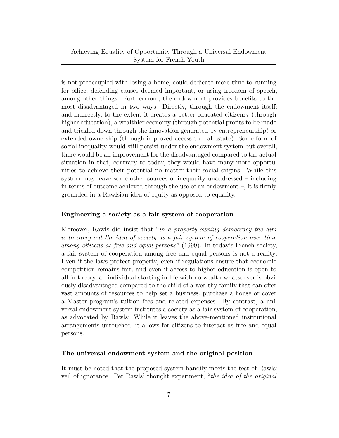is not preoccupied with losing a home, could dedicate more time to running for office, defending causes deemed important, or using freedom of speech, among other things. Furthermore, the endowment provides benefits to the most disadvantaged in two ways: Directly, through the endowment itself; and indirectly, to the extent it creates a better educated citizenry (through higher education), a wealthier economy (through potential profits to be made and trickled down through the innovation generated by entrepreneurship) or extended ownership (through improved access to real estate). Some form of social inequality would still persist under the endowment system but overall, there would be an improvement for the disadvantaged compared to the actual situation in that, contrary to today, they would have many more opportunities to achieve their potential no matter their social origins. While this system may leave some other sources of inequality unaddressed – including in terms of outcome achieved through the use of an endowment –, it is firmly grounded in a Rawlsian idea of equity as opposed to equality.

#### <span id="page-6-0"></span>**Engineering a society as a fair system of cooperation**

Moreover, Rawls did insist that "*in a property-owning democracy the aim is to carry out the idea of society as a fair system of cooperation over time among citizens as free and equal persons*" ([1999](#page-14-4)). In today's French society, a fair system of cooperation among free and equal persons is not a reality: Even if the laws protect property, even if regulations ensure that economic competition remains fair, and even if access to higher education is open to all in theory, an individual starting in life with no wealth whatsoever is obviously disadvantaged compared to the child of a wealthy family that can offer vast amounts of resources to help set a business, purchase a house or cover a Master program's tuition fees and related expenses. By contrast, a universal endowment system institutes a society as a fair system of cooperation, as advocated by Rawls: While it leaves the above-mentioned institutional arrangements untouched, it allows for citizens to interact as free and equal persons.

#### <span id="page-6-1"></span>**The universal endowment system and the original position**

It must be noted that the proposed system handily meets the test of Rawls' veil of ignorance. Per Rawls' thought experiment, "*the idea of the original*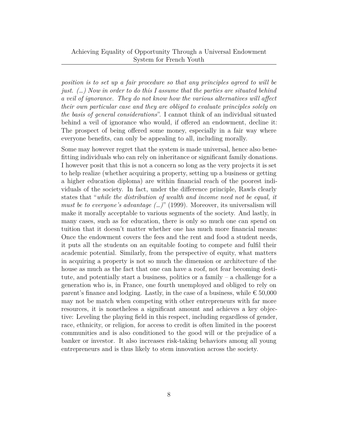#### Achieving Equality of Opportunity Through a Universal Endowment System for French Youth

*position is to set up a fair procedure so that any principles agreed to will be just*. *(…) Now in order to do this I assume that the parties are situated behind a veil of ignorance. They do not know how the various alternatives will affect their own particular case and they are obliged to evaluate principles solely on the basis of general considerations*". I cannot think of an individual situated behind a veil of ignorance who would, if offered an endowment, decline it: The prospect of being offered some money, especially in a fair way where everyone benefits, can only be appealing to all, including morally.

Some may however regret that the system is made universal, hence also benefitting individuals who can rely on inheritance or significant family donations. I however posit that this is not a concern so long as the very projects it is set to help realize (whether acquiring a property, setting up a business or getting a higher education diploma) are within financial reach of the poorest individuals of the society. In fact, under the difference principle, Rawls clearly states that "*while the distribution of wealth and income need not be equal, it must be to everyone's advantage (…)*" ([1999](#page-14-4)). Moreover, its universalism will make it morally acceptable to various segments of the society. And lastly, in many cases, such as for education, there is only so much one can spend on tuition that it doesn't matter whether one has much more financial means: Once the endowment covers the fees and the rent and food a student needs, it puts all the students on an equitable footing to compete and fulfil their academic potential. Similarly, from the perspective of equity, what matters in acquiring a property is not so much the dimension or architecture of the house as much as the fact that one can have a roof, not fear becoming destitute, and potentially start a business, politics or a family – a challenge for a generation who is, in France, one fourth unemployed and obliged to rely on parent's finance and lodging. Lastly, in the case of a business, while  $\epsilon$  50,000 may not be match when competing with other entrepreneurs with far more resources, it is nonetheless a significant amount and achieves a key objective: Leveling the playing field in this respect, including regardless of gender, race, ethnicity, or religion, for access to credit is often limited in the poorest communities and is also conditioned to the good will or the prejudice of a banker or investor. It also increases risk-taking behaviors among all young entrepreneurs and is thus likely to stem innovation across the society.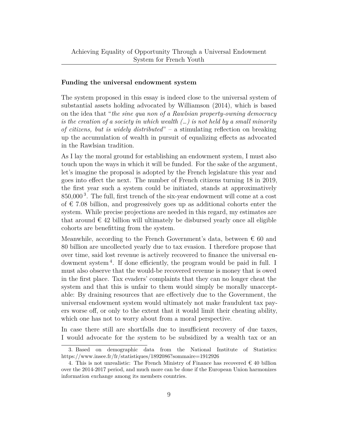#### <span id="page-8-0"></span>**Funding the universal endowment system**

The system proposed in this essay is indeed close to the universal system of substantial assets holding advocated by Williamson ([2014](#page-14-5)), which is based on the idea that "*the sine qua non of a Rawlsian property-owning democracy is the creation of a society in which wealth (…) is not held by a small minority of citizens, but is widely distributed*" – a stimulating reflection on breaking up the accumulation of wealth in pursuit of equalizing effects as advocated in the Rawlsian tradition.

As I lay the moral ground for establishing an endowment system, I must also touch upon the ways in which it will be funded. For the sake of the argument, let's imagine the proposal is adopted by the French legislature this year and goes into effect the next. The number of French citizens turning 18 in 2019, the first year such a system could be initiated, stands at approximatively 850,000 [3](#page-8-1) . The full, first trench of the six-year endowment will come at a cost of  $\epsilon$  7.08 billion, and progressively goes up as additional cohorts enter the system. While precise projections are needed in this regard, my estimates are that around  $\epsilon$  42 billion will ultimately be disbursed yearly once all eligible cohorts are benefitting from the system.

Meanwhile, according to the French Government's data, between  $\epsilon$  60 and 80 billion are uncollected yearly due to tax evasion. I therefore propose that over time, said lost revenue is actively recovered to finance the universal en-dowment system<sup>[4](#page-8-2)</sup>. If done efficiently, the program would be paid in full. I must also observe that the would-be recovered revenue is money that is owed in the first place. Tax evaders' complaints that they can no longer cheat the system and that this is unfair to them would simply be morally unacceptable: By draining resources that are effectively due to the Government, the universal endowment system would ultimately not make fraudulent tax payers worse off, or only to the extent that it would limit their cheating ability, which one has not to worry about from a moral perspective.

In case there still are shortfalls due to insufficient recovery of due taxes, I would advocate for the system to be subsidized by a wealth tax or an

<span id="page-8-1"></span><sup>3.</sup> Based on demographic data from the National Institute of Statistics: https://www.insee.fr/fr/statistiques/1892086?sommaire=1912926

<span id="page-8-2"></span><sup>4.</sup> This is not unrealistic: The French Ministry of Finance has recovered  $\in$  40 billion over the 2014-2017 period, and much more can be done if the European Union harmonizes information exchange among its members countries.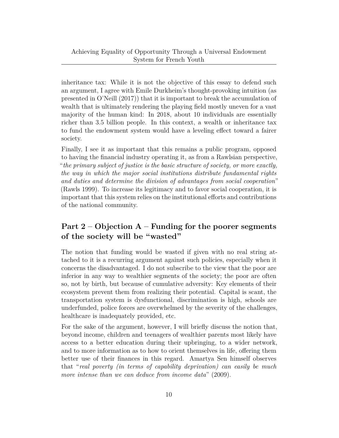inheritance tax: While it is not the objective of this essay to defend such an argument, I agree with Emile Durkheim's thought-provoking intuition (as presented in O'Neill ([2017](#page-14-6))) that it is important to break the accumulation of wealth that is ultimately rendering the playing field mostly uneven for a vast majority of the human kind: In 2018, about 10 individuals are essentially richer than 3.5 billion people. In this context, a wealth or inheritance tax to fund the endowment system would have a leveling effect toward a fairer society.

Finally, I see it as important that this remains a public program, opposed to having the financial industry operating it, as from a Rawlsian perspective, "*the primary subject of justice is the basic structure of society, or more exactly, the way in which the major social institutions distribute fundamental rights and duties and determine the division of advantages from social cooperation*" (Rawls [1999](#page-14-4)). To increase its legitimacy and to favor social cooperation, it is important that this system relies on the institutional efforts and contributions of the national community.

# <span id="page-9-0"></span>**Part 2 – Objection A – Funding for the poorer segments of the society will be "wasted"**

The notion that funding would be wasted if given with no real string attached to it is a recurring argument against such policies, especially when it concerns the disadvantaged. I do not subscribe to the view that the poor are inferior in any way to wealthier segments of the society; the poor are often so, not by birth, but because of cumulative adversity: Key elements of their ecosystem prevent them from realizing their potential. Capital is scant, the transportation system is dysfunctional, discrimination is high, schools are underfunded, police forces are overwhelmed by the severity of the challenges, healthcare is inadequately provided, etc.

For the sake of the argument, however, I will briefly discuss the notion that, beyond income, children and teenagers of wealthier parents most likely have access to a better education during their upbringing, to a wider network, and to more information as to how to orient themselves in life, offering them better use of their finances in this regard. Amartya Sen himself observes that "*real poverty (in terms of capability deprivation) can easily be much more intense than we can deduce from income data*" [\(2009\)](#page-14-7).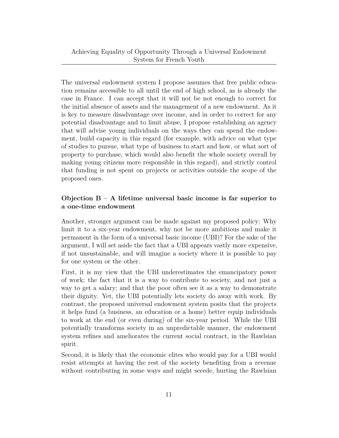The universal endowment system I propose assumes that free public education remains accessible to all until the end of high school, as is already the case in France. I can accept that it will not be not enough to correct for the initial absence of assets and the management of a new endowment. As it is key to measure disadvantage over income, and in order to correct for any potential disadvantage and to limit abuse, I propose establishing an agency that will advise young individuals on the ways they can spend the endowment, build capacity in this regard (for example, with advice on what type of studies to pursue, what type of business to start and how, or what sort of property to purchase, which would also benefit the whole society overall by making young citizens more responsible in this regard), and strictly control that funding is not spent on projects or activities outside the scope of the proposed ones.

#### <span id="page-10-0"></span>**Objection B – A lifetime universal basic income is far superior to a one-time endowment**

Another, stronger argument can be made against my proposed policy: Why limit it to a six-year endowment, why not be more ambitious and make it permanent in the form of a universal basic income (UBI)? For the sake of the argument, I will set aside the fact that a UBI appears vastly more expensive, if not unsustainable, and will imagine a society where it is possible to pay for one system or the other.

First, it is my view that the UBI underestimates the emancipatory power of work; the fact that it is a way to contribute to society, and not just a way to get a salary; and that the poor often see it as a way to demonstrate their dignity. Yet, the UBI potentially lets society do away with work. By contrast, the proposed universal endowment system posits that the projects it helps fund (a business, an education or a home) better equip individuals to work at the end (or even during) of the six-year period. While the UBI potentially transforms society in an unpredictable manner, the endowment system refines and ameliorates the current social contract, in the Rawlsian spirit.

Second, it is likely that the economic elites who would pay for a UBI would resist attempts at having the rest of the society benefiting from a revenue without contributing in some ways and might secede, hurting the Rawlsian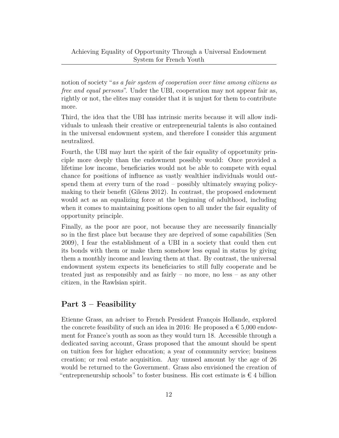notion of society "*as a fair system of cooperation over time among citizens as free and equal persons*". Under the UBI, cooperation may not appear fair as, rightly or not, the elites may consider that it is unjust for them to contribute more.

Third, the idea that the UBI has intrinsic merits because it will allow individuals to unleash their creative or entrepreneurial talents is also contained in the universal endowment system, and therefore I consider this argument neutralized.

Fourth, the UBI may hurt the spirit of the fair equality of opportunity principle more deeply than the endowment possibly would: Once provided a lifetime low income, beneficiaries would not be able to compete with equal chance for positions of influence as vastly wealthier individuals would outspend them at every turn of the road – possibly ultimately swaying policymaking to their benefit (Gilens [2012](#page-14-8)). In contrast, the proposed endowment would act as an equalizing force at the beginning of adulthood, including when it comes to maintaining positions open to all under the fair equality of opportunity principle.

Finally, as the poor are poor, not because they are necessarily financially so in the first place but because they are deprived of some capabilities (Sen [2009](#page-14-7)), I fear the establishment of a UBI in a society that could then cut its bonds with them or make them somehow less equal in status by giving them a monthly income and leaving them at that. By contrast, the universal endowment system expects its beneficiaries to still fully cooperate and be treated just as responsibly and as fairly – no more, no less – as any other citizen, in the Rawlsian spirit.

# <span id="page-11-0"></span>**Part 3 – Feasibility**

Etienne Grass, an adviser to French President François Hollande, explored the concrete feasibility of such an idea in 2016: He proposed a  $\epsilon$  5,000 endowment for France's youth as soon as they would turn 18. Accessible through a dedicated saving account, Grass proposed that the amount should be spent on tuition fees for higher education; a year of community service; business creation; or real estate acquisition. Any unused amount by the age of 26 would be returned to the Government. Grass also envisioned the creation of "entrepreneurship schools" to foster business. His cost estimate is  $\in$  4 billion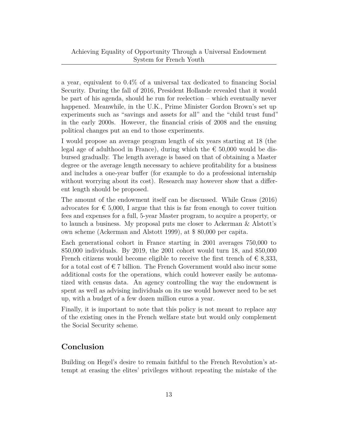a year, equivalent to 0.4% of a universal tax dedicated to financing Social Security. During the fall of 2016, President Hollande revealed that it would be part of his agenda, should he run for reelection – which eventually never happened. Meanwhile, in the U.K., Prime Minister Gordon Brown's set up experiments such as "savings and assets for all" and the "child trust fund" in the early 2000s. However, the financial crisis of 2008 and the ensuing political changes put an end to those experiments.

I would propose an average program length of six years starting at 18 (the legal age of adulthood in France), during which the  $\epsilon$  50,000 would be disbursed gradually. The length average is based on that of obtaining a Master degree or the average length necessary to achieve profitability for a business and includes a one-year buffer (for example to do a professional internship without worrying about its cost). Research may however show that a different length should be proposed.

The amount of the endowment itself can be discussed. While Grass ([2016](#page-14-9)) advocates for  $\epsilon$  5,000, I argue that this is far from enough to cover tuition fees and expenses for a full, 5-year Master program, to acquire a property, or to launch a business. My proposal puts me closer to Ackerman & Alstott's own scheme (Ackerman and Alstott [1999](#page-14-1)), at \$ 80,000 per capita.

Each generational cohort in France starting in 2001 averages 750,000 to 850,000 individuals. By 2019, the 2001 cohort would turn 18, and 850,000 French citizens would become eligible to receive the first trench of  $\in$  8,333, for a total cost of  $\epsilon$  7 billion. The French Government would also incur some additional costs for the operations, which could however easily be automatized with census data. An agency controlling the way the endowment is spent as well as advising individuals on its use would however need to be set up, with a budget of a few dozen million euros a year.

Finally, it is important to note that this policy is not meant to replace any of the existing ones in the French welfare state but would only complement the Social Security scheme.

# <span id="page-12-0"></span>**Conclusion**

Building on Hegel's desire to remain faithful to the French Revolution's attempt at erasing the elites' privileges without repeating the mistake of the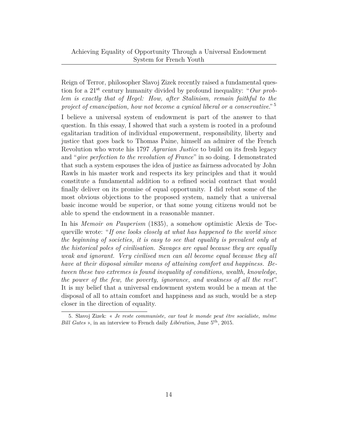Reign of Terror, philosopher Slavoj Zizek recently raised a fundamental question for a 21<sup>st</sup> century humanity divided by profound inequality: "Our prob*lem is exactly that of Hegel: How, after Stalinism, remain faithful to the project of emancipation, how not become a cynical liberal or a conservative*." [5](#page-13-0)

I believe a universal system of endowment is part of the answer to that question. In this essay, I showed that such a system is rooted in a profound egalitarian tradition of individual empowerment, responsibility, liberty and justice that goes back to Thomas Paine, himself an admirer of the French Revolution who wrote his 1797 *Agrarian Justice* to build on its fresh legacy and "*give perfection to the revolution of France*" in so doing. I demonstrated that such a system espouses the idea of justice as fairness advocated by John Rawls in his master work and respects its key principles and that it would constitute a fundamental addition to a refined social contract that would finally deliver on its promise of equal opportunity. I did rebut some of the most obvious objections to the proposed system, namely that a universal basic income would be superior, or that some young citizens would not be able to spend the endowment in a reasonable manner.

In his *Memoir on Pauperism* [\(1835\)](#page-14-10), a somehow optimistic Alexis de Tocqueville wrote: "*If one looks closely at what has happened to the world since the beginning of societies, it is easy to see that equality is prevalent only at the historical poles of civilisation. Savages are equal because they are equally weak and ignorant. Very civilised men can all become equal because they all have at their disposal similar means of attaining comfort and happiness. Between these two extremes is found inequality of conditions, wealth, knowledge, the power of the few, the poverty, ignorance, and weakness of all the rest*". It is my belief that a universal endowment system would be a mean at the disposal of all to attain comfort and happiness and as such, would be a step closer in the direction of equality.

<span id="page-13-0"></span><sup>5.</sup> Slavoj Zizek: « *Je reste communiste, car tout le monde peut être socialiste, même Bill Gates* », in an interview to French daily *Libération*, June 5<sup>th</sup>, 2015.